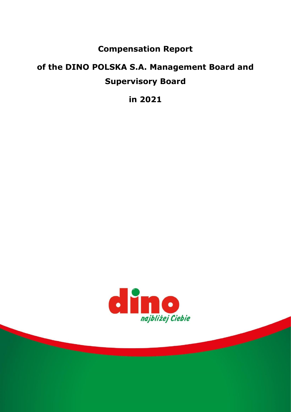## **Compensation Report**

# **of the DINO POLSKA S.A. Management Board and Supervisory Board**

**in 2021**

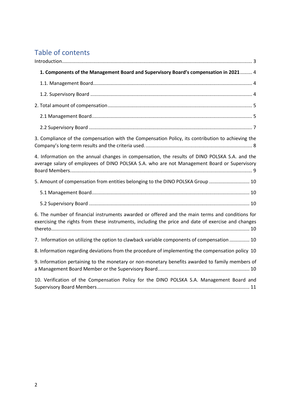# Table of contents

| 1. Components of the Management Board and Supervisory Board's compensation in 2021 4                                                                                                                  |
|-------------------------------------------------------------------------------------------------------------------------------------------------------------------------------------------------------|
|                                                                                                                                                                                                       |
|                                                                                                                                                                                                       |
|                                                                                                                                                                                                       |
|                                                                                                                                                                                                       |
|                                                                                                                                                                                                       |
| 3. Compliance of the compensation with the Compensation Policy, its contribution to achieving the                                                                                                     |
| 4. Information on the annual changes in compensation, the results of DINO POLSKA S.A. and the<br>average salary of employees of DINO POLSKA S.A. who are not Management Board or Supervisory          |
| 5. Amount of compensation from entities belonging to the DINO POLSKA Group  10                                                                                                                        |
|                                                                                                                                                                                                       |
|                                                                                                                                                                                                       |
| 6. The number of financial instruments awarded or offered and the main terms and conditions for<br>exercising the rights from these instruments, including the price and date of exercise and changes |
| 7. Information on utilizing the option to clawback variable components of compensation  10                                                                                                            |
| 8. Information regarding deviations from the procedure of implementing the compensation policy 10                                                                                                     |
| 9. Information pertaining to the monetary or non-monetary benefits awarded to family members of                                                                                                       |
| 10. Verification of the Compensation Policy for the DINO POLSKA S.A. Management Board and                                                                                                             |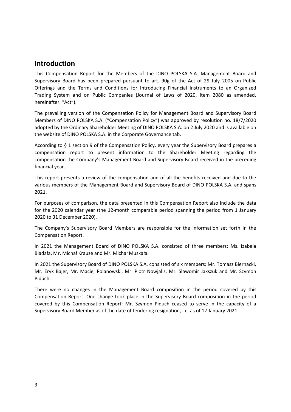### <span id="page-2-0"></span>**Introduction**

This Compensation Report for the Members of the DINO POLSKA S.A. Management Board and Supervisory Board has been prepared pursuant to art. 90g of the Act of 29 July 2005 on Public Offerings and the Terms and Conditions for Introducing Financial Instruments to an Organized Trading System and on Public Companies (Journal of Laws of 2020, item 2080 as amended, hereinafter: "Act").

The prevailing version of the Compensation Policy for Management Board and Supervisory Board Members of DINO POLSKA S.A. ("Compensation Policy") was approved by resolution no. 18/7/2020 adopted by the Ordinary Shareholder Meeting of DINO POLSKA S.A. on 2 July 2020 and is available on the website of DINO POLSKA S.A. in the Corporate Governance tab.

According to § 1 section 9 of the Compensation Policy, every year the Supervisory Board prepares a compensation report to present information to the Shareholder Meeting regarding the compensation the Company's Management Board and Supervisory Board received in the preceding financial year.

This report presents a review of the compensation and of all the benefits received and due to the various members of the Management Board and Supervisory Board of DINO POLSKA S.A. and spans 2021.

For purposes of comparison, the data presented in this Compensation Report also include the data for the 2020 calendar year (the 12-month comparable period spanning the period from 1 January 2020 to 31 December 2020).

The Company's Supervisory Board Members are responsible for the information set forth in the Compensation Report.

In 2021 the Management Board of DINO POLSKA S.A. consisted of three members: Ms. Izabela Biadała, Mr. Michał Krauze and Mr. Michał Muskała.

In 2021 the Supervisory Board of DINO POLSKA S.A. consisted of six members: Mr. Tomasz Biernacki, Mr. Eryk Bajer, Mr. Maciej Polanowski, Mr. Piotr Nowjalis, Mr. Sławomir Jakszuk and Mr. Szymon Piduch.

There were no changes in the Management Board composition in the period covered by this Compensation Report. One change took place in the Supervisory Board composition in the period covered by this Compensation Report: Mr. Szymon Piduch ceased to serve in the capacity of a Supervisory Board Member as of the date of tendering resignation, i.e. as of 12 January 2021.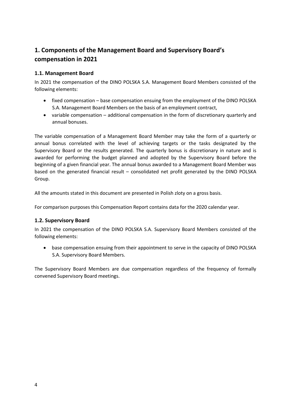### <span id="page-3-0"></span>**1. Components of the Management Board and Supervisory Board's compensation in 2021**

### <span id="page-3-1"></span>**1.1. Management Board**

In 2021 the compensation of the DINO POLSKA S.A. Management Board Members consisted of the following elements:

- fixed compensation base compensation ensuing from the employment of the DINO POLSKA S.A. Management Board Members on the basis of an employment contract,
- variable compensation additional compensation in the form of discretionary quarterly and annual bonuses.

The variable compensation of a Management Board Member may take the form of a quarterly or annual bonus correlated with the level of achieving targets or the tasks designated by the Supervisory Board or the results generated. The quarterly bonus is discretionary in nature and is awarded for performing the budget planned and adopted by the Supervisory Board before the beginning of a given financial year. The annual bonus awarded to a Management Board Member was based on the generated financial result – consolidated net profit generated by the DINO POLSKA Group.

All the amounts stated in this document are presented in Polish zloty on a gross basis.

For comparison purposes this Compensation Report contains data for the 2020 calendar year.

#### <span id="page-3-2"></span>**1.2. Supervisory Board**

In 2021 the compensation of the DINO POLSKA S.A. Supervisory Board Members consisted of the following elements:

• base compensation ensuing from their appointment to serve in the capacity of DINO POLSKA S.A. Supervisory Board Members.

The Supervisory Board Members are due compensation regardless of the frequency of formally convened Supervisory Board meetings.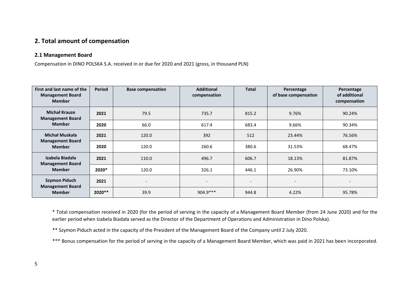### **2. Total amount of compensation**

#### **2.1 Management Board**

Compensation in DINO POLSKA S.A. received in or due for 2020 and 2021 (gross, in thousand PLN)

| First and last name of the<br><b>Management Board</b><br><b>Member</b> | <b>Period</b> | <b>Base compensation</b> | <b>Additional</b><br>compensation | <b>Total</b>             | Percentage<br>of base compensation | Percentage<br>of additional<br>compensation |
|------------------------------------------------------------------------|---------------|--------------------------|-----------------------------------|--------------------------|------------------------------------|---------------------------------------------|
| <b>Michał Krauze</b><br><b>Management Board</b>                        | 2021          | 79.5                     | 735.7                             | 815.2                    | 9.76%                              | 90.24%                                      |
| <b>Member</b>                                                          | 2020          | 66.0                     | 617.4                             | 683.4                    | 9.66%                              | 90.34%                                      |
| Michał Muskała<br><b>Management Board</b><br><b>Member</b>             | 2021          | 120.0                    | 392                               | 512                      | 23.44%                             | 76.56%                                      |
|                                                                        | 2020          | 120.0                    | 260.6                             | 380.6                    | 31.53%                             | 68.47%                                      |
| Izabela Biadała<br><b>Management Board</b>                             | 2021          | 110.0                    | 496.7                             | 606.7                    | 18.13%                             | 81.87%                                      |
| <b>Member</b>                                                          | 2020*         | 120.0                    | 326.1                             | 446.1                    | 26.90%                             | 73.10%                                      |
| <b>Szymon Piduch</b><br><b>Management Board</b><br><b>Member</b>       | 2021          | $\overline{a}$           | $\overline{\phantom{a}}$          | $\overline{\phantom{a}}$ | $\overline{\phantom{0}}$           | $\overline{\phantom{a}}$                    |
|                                                                        | 2020 **       | 39.9                     | $904.9***$                        | 944.8                    | 4.22%                              | 95.78%                                      |

<span id="page-4-1"></span><span id="page-4-0"></span>\* Total compensation received in 2020 (for the period of serving in the capacity of a Management Board Member (from 24 June 2020) and for the earlier period when Izabela Biadała served as the Director of the Department of Operations and Administration in Dino Polska).

\*\* Szymon Piduch acted in the capacity of the President of the Management Board of the Company until 2 July 2020.

\*\*\* Bonus compensation for the period of serving in the capacity of a Management Board Member, which was paid in 2021 has been incorporated.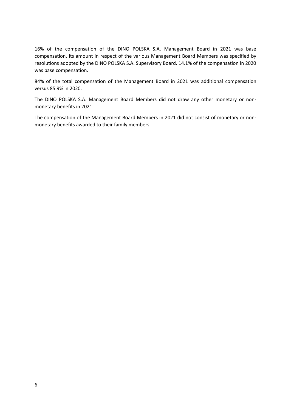16% of the compensation of the DINO POLSKA S.A. Management Board in 2021 was base compensation. Its amount in respect of the various Management Board Members was specified by resolutions adopted by the DINO POLSKA S.A. Supervisory Board. 14.1% of the compensation in 2020 was base compensation.

84% of the total compensation of the Management Board in 2021 was additional compensation versus 85.9% in 2020.

The DINO POLSKA S.A. Management Board Members did not draw any other monetary or nonmonetary benefits in 2021.

The compensation of the Management Board Members in 2021 did not consist of monetary or nonmonetary benefits awarded to their family members.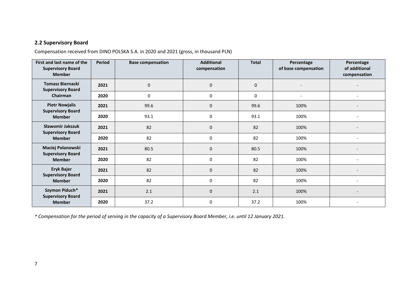### **2.2 Supervisory Board**

Compensation received from DINO POLSKA S.A. in 2020 and 2021 (gross, in thousand PLN)

| First and last name of the<br><b>Supervisory Board</b><br><b>Member</b> | <b>Period</b> | <b>Base compensation</b> | <b>Additional</b><br>compensation | <b>Total</b> | Percentage<br>of base compensation | Percentage<br>of additional<br>compensation |
|-------------------------------------------------------------------------|---------------|--------------------------|-----------------------------------|--------------|------------------------------------|---------------------------------------------|
| <b>Tomasz Biernacki</b><br><b>Supervisory Board</b>                     | 2021          | $\mathbf{0}$             | $\mathbf 0$                       | $\pmb{0}$    |                                    |                                             |
| <b>Chairman</b>                                                         | 2020          | $\mathbf{0}$             | 0                                 | $\mathbf{0}$ | $\overline{\phantom{a}}$           | $\overline{\phantom{0}}$                    |
| <b>Piotr Nowjalis</b><br><b>Supervisory Board</b>                       | 2021          | 99.6                     | $\mathbf 0$                       | 99.6         | 100%                               |                                             |
| <b>Member</b>                                                           | 2020          | 93.1                     | 0                                 | 93.1         | 100%                               |                                             |
| Sławomir Jakszuk<br><b>Supervisory Board</b>                            | 2021          | 82                       | 0                                 | 82           | 100%                               |                                             |
| <b>Member</b>                                                           | 2020          | 82                       | 0                                 | 82           | 100%                               |                                             |
| Maciej Polanowski<br><b>Supervisory Board</b>                           | 2021          | 80.5                     | $\mathbf 0$                       | 80.5         | 100%                               |                                             |
| <b>Member</b>                                                           | 2020          | 82                       | 0                                 | 82           | 100%                               |                                             |
| <b>Eryk Bajer</b><br><b>Supervisory Board</b><br><b>Member</b>          | 2021          | 82                       | $\Omega$                          | 82           | 100%                               |                                             |
|                                                                         | 2020          | 82                       | 0                                 | 82           | 100%                               |                                             |
| Szymon Piduch*<br><b>Supervisory Board</b><br><b>Member</b>             | 2021          | 2.1                      | 0                                 | 2.1          | 100%                               |                                             |
|                                                                         | 2020          | 37.2                     | 0                                 | 37.2         | 100%                               | $\overline{\phantom{a}}$                    |

<span id="page-6-0"></span>*\* Compensation for the period of serving in the capacity of a Supervisory Board Member, i.e. until 12 January 2021.*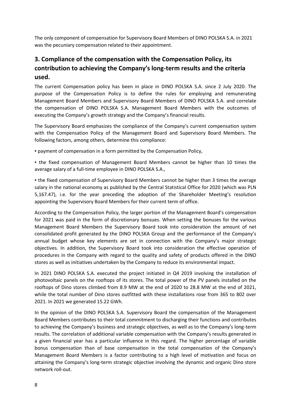The only component of compensation for Supervisory Board Members of DINO POLSKA S.A. in 2021 was the pecuniary compensation related to their appointment.

### <span id="page-7-0"></span>**3. Compliance of the compensation with the Compensation Policy, its contribution to achieving the Company's long-term results and the criteria used.**

The current Compensation policy has been in place in DINO POLSKA S.A. since 2 July 2020. The purpose of the Compensation Policy is to define the rules for employing and remunerating Management Board Members and Supervisory Board Members of DINO POLSKA S.A. and correlate the compensation of DINO POLSKA S.A. Management Board Members with the outcomes of executing the Company's growth strategy and the Company's financial results.

The Supervisory Board emphasizes the compliance of the Company's current compensation system with the Compensation Policy of the Management Board and Supervisory Board Members. The following factors, among others, determine this compliance:

▪ payment of compensation in a form permitted by the Compensation Policy,

**.** the fixed compensation of Management Board Members cannot be higher than 10 times the average salary of a full-time employee in DINO POLSKA S.A.,

. the fixed compensation of Supervisory Board Members cannot be higher than 3 times the average salary in the national economy as published by the Central Statistical Office for 2020 (which was PLN 5,167.47), i.e. for the year preceding the adoption of the Shareholder Meeting's resolution appointing the Supervisory Board Members for their current term of office.

According to the Compensation Policy, the larger portion of the Management Board's compensation for 2021 was paid in the form of discretionary bonsues. When setting the bonuses for the various Management Board Members the Supervisory Board took into consideration the amount of net consolidated profit generated by the DINO POLSKA Group and the performance of the Company's annual budget whose key elements are set in connection with the Company's major strategic objectives. In addition, the Supervisory Board took into consideration the effective operation of procedures in the Company with regard to the quality and safety of products offered in the DINO stores as well as initiatives undertaken by the Company to reduce its environmental impact.

In 2021 DINO POLSKA S.A. executed the project initiated in Q4 2019 involving the installation of photovoltaic panels on the rooftops of its stores. The total power of the PV panels installed on the rooftops of Dino stores climbed from 8.9 MW at the end of 2020 to 28.8 MW at the end of 2021, while the total number of Dino stores outfitted with these installations rose from 365 to 802 over 2021. In 2021 we generated 15.22 GWh.

In the opinion of the DINO POLSKA S.A. Supervisory Board the compensation of the Management Board Members contributes to their total commitment to discharging their functions and contributes to achieving the Company's business and strategic objectives, as well as to the Company's long-term results. The correlation of additional variable compensation with the Company's results generated in a given financial year has a particular influence in this regard. The higher percentage of variable bonus compensation than of base compensation in the total compensation of the Company's Management Board Members is a factor contributing to a high level of motivation and focus on attaining the Company's long-term strategic objective involving the dynamic and organic Dino store network roll-out.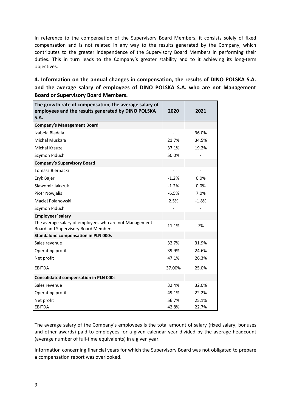In reference to the compensation of the Supervisory Board Members, it consists solely of fixed compensation and is not related in any way to the results generated by the Company, which contributes to the greater independence of the Supervisory Board Members in performing their duties. This in turn leads to the Company's greater stability and to it achieving its long-term objectives.

<span id="page-8-0"></span>**4. Information on the annual changes in compensation, the results of DINO POLSKA S.A. and the average salary of employees of DINO POLSKA S.A. who are not Management Board or Supervisory Board Members.**

| The growth rate of compensation, the average salary of<br>employees and the results generated by DINO POLSKA<br>S.A. | 2020    | 2021    |
|----------------------------------------------------------------------------------------------------------------------|---------|---------|
| <b>Company's Management Board</b>                                                                                    |         |         |
| Izabela Biadała                                                                                                      |         | 36.0%   |
| Michał Muskała                                                                                                       | 21.7%   | 34.5%   |
| Michał Krauze                                                                                                        | 37.1%   | 19.2%   |
| Szymon Piduch                                                                                                        | 50.0%   |         |
| <b>Company's Supervisory Board</b>                                                                                   |         |         |
| Tomasz Biernacki                                                                                                     |         |         |
| Eryk Bajer                                                                                                           | $-1.2%$ | 0.0%    |
| Sławomir Jakszuk                                                                                                     | $-1.2%$ | 0.0%    |
| Piotr Nowjalis                                                                                                       | $-6.5%$ | 7.0%    |
| Maciej Polanowski                                                                                                    | 2.5%    | $-1.8%$ |
| Szymon Piduch                                                                                                        |         |         |
| Employees' salary                                                                                                    |         |         |
| The average salary of employees who are not Management<br><b>Board and Supervisory Board Members</b>                 | 11.1%   | 7%      |
| <b>Standalone compensation in PLN 000s</b>                                                                           |         |         |
| Sales revenue                                                                                                        | 32.7%   | 31.9%   |
| Operating profit                                                                                                     | 39.9%   | 24.6%   |
| Net profit                                                                                                           | 47.1%   | 26.3%   |
| <b>FRITDA</b>                                                                                                        | 37.00%  | 25.0%   |
| <b>Consolidated compensation in PLN 000s</b>                                                                         |         |         |
| Sales revenue                                                                                                        | 32.4%   | 32.0%   |
| Operating profit                                                                                                     | 49.1%   | 22.2%   |
| Net profit                                                                                                           | 56.7%   | 25.1%   |
| <b>EBITDA</b>                                                                                                        | 42.8%   | 22.7%   |

The average salary of the Company's employees is the total amount of salary (fixed salary, bonuses and other awards) paid to employees for a given calendar year divided by the average headcount (average number of full-time equivalents) in a given year.

Information concerning financial years for which the Supervisory Board was not obligated to prepare a compensation report was overlooked.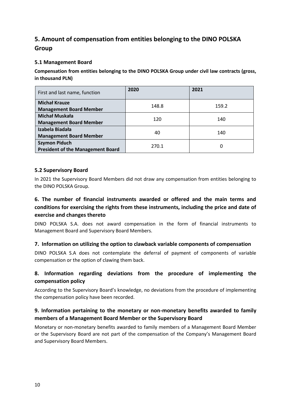### <span id="page-9-0"></span>**5. Amount of compensation from entities belonging to the DINO POLSKA Group**

### <span id="page-9-1"></span>**5.1 Management Board**

**Compensation from entities belonging to the DINO POLSKA Group under civil law contracts (gross, in thousand PLN)**

| First and last name, function                                    | 2020  | 2021  |
|------------------------------------------------------------------|-------|-------|
| <b>Michał Krauze</b><br><b>Management Board Member</b>           | 148.8 | 159.2 |
| <b>Michał Muskała</b><br><b>Management Board Member</b>          | 120   | 140   |
| Izabela Biadała<br><b>Management Board Member</b>                | 40    | 140   |
| <b>Szymon Piduch</b><br><b>President of the Management Board</b> | 270.1 | 0     |

### <span id="page-9-2"></span>**5.2 Supervisory Board**

In 2021 the Supervisory Board Members did not draw any compensation from entities belonging to the DINO POLSKA Group.

### <span id="page-9-3"></span>**6. The number of financial instruments awarded or offered and the main terms and conditions for exercising the rights from these instruments, including the price and date of exercise and changes thereto**

DINO POLSKA S.A. does not award compensation in the form of financial instruments to Management Board and Supervisory Board Members.

### <span id="page-9-4"></span>**7. Information on utilizing the option to clawback variable components of compensation**

DINO POLSKA S.A does not contemplate the deferral of payment of components of variable compensation or the option of clawing them back.

### <span id="page-9-5"></span>**8. Information regarding deviations from the procedure of implementing the compensation policy**

According to the Supervisory Board's knowledge, no deviations from the procedure of implementing the compensation policy have been recorded.

### <span id="page-9-6"></span>**9. Information pertaining to the monetary or non-monetary benefits awarded to family members of a Management Board Member or the Supervisory Board**

Monetary or non-monetary benefits awarded to family members of a Management Board Member or the Supervisory Board are not part of the compensation of the Company's Management Board and Supervisory Board Members.